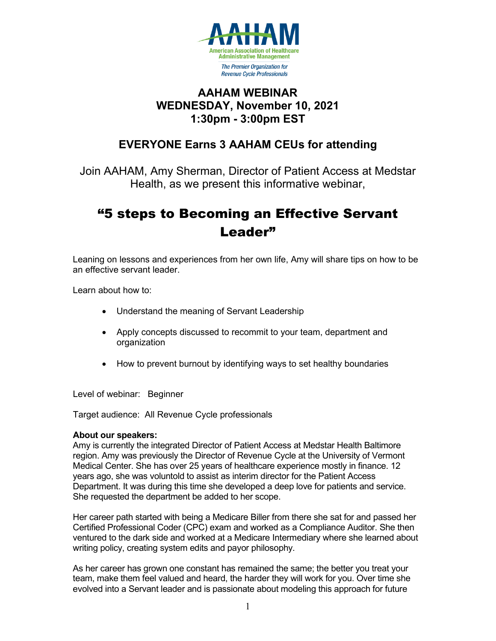

### **AAHAM WEBINAR WEDNESDAY, November 10, 2021 1:30pm - 3:00pm EST**

## **EVERYONE Earns 3 AAHAM CEUs for attending**

Join AAHAM, Amy Sherman, Director of Patient Access at Medstar Health, as we present this informative webinar,

# "5 steps to Becoming an Effective Servant Leader"

Leaning on lessons and experiences from her own life, Amy will share tips on how to be an effective servant leader.

Learn about how to:

- Understand the meaning of Servant Leadership
- Apply concepts discussed to recommit to your team, department and organization
- How to prevent burnout by identifying ways to set healthy boundaries

Level of webinar: Beginner

Target audience: All Revenue Cycle professionals

### **About our speakers:**

Amy is currently the integrated Director of Patient Access at Medstar Health Baltimore region. Amy was previously the Director of Revenue Cycle at the University of Vermont Medical Center. She has over 25 years of healthcare experience mostly in finance. 12 years ago, she was voluntold to assist as interim director for the Patient Access Department. It was during this time she developed a deep love for patients and service. She requested the department be added to her scope.

Her career path started with being a Medicare Biller from there she sat for and passed her Certified Professional Coder (CPC) exam and worked as a Compliance Auditor. She then ventured to the dark side and worked at a Medicare Intermediary where she learned about writing policy, creating system edits and payor philosophy.

As her career has grown one constant has remained the same; the better you treat your team, make them feel valued and heard, the harder they will work for you. Over time she evolved into a Servant leader and is passionate about modeling this approach for future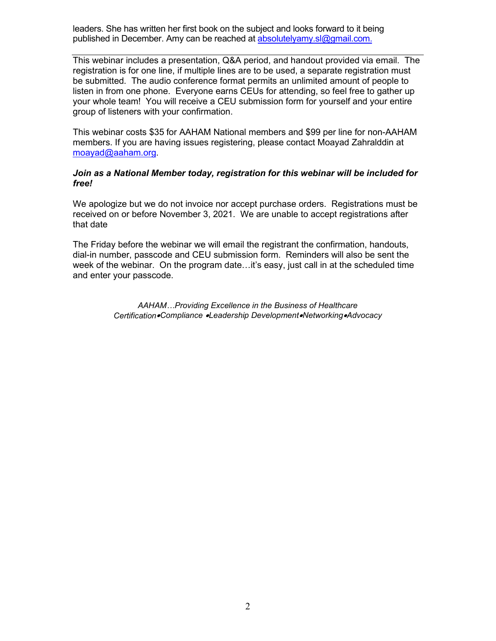leaders. She has written her first book on the subject and looks forward to it being published in December. Amy can be reached at [absolutelyamy.sl@gmail.com.](mailto:absolutelyamy.sl@gmail.com)

This webinar includes a presentation, Q&A period, and handout provided via email. The registration is for one line, if multiple lines are to be used, a separate registration must be submitted. The audio conference format permits an unlimited amount of people to listen in from one phone. Everyone earns CEUs for attending, so feel free to gather up your whole team! You will receive a CEU submission form for yourself and your entire group of listeners with your confirmation.

This webinar costs \$35 for AAHAM National members and \$99 per line for non-AAHAM members. If you are having issues registering, please contact Moayad Zahralddin at [moayad@aaham.org.](mailto:moayad@aaham.org)

#### *Join as a National Member today, registration for this webinar will be included for free!*

We apologize but we do not invoice nor accept purchase orders. Registrations must be received on or before November 3, 2021. We are unable to accept registrations after that date

The Friday before the webinar we will email the registrant the confirmation, handouts, dial-in number, passcode and CEU submission form. Reminders will also be sent the week of the webinar. On the program date…it's easy, just call in at the scheduled time and enter your passcode.

> *AAHAM…Providing Excellence in the Business of Healthcare Certification*•*Compliance* •*Leadership Development*•*Networking*•*Advocacy*